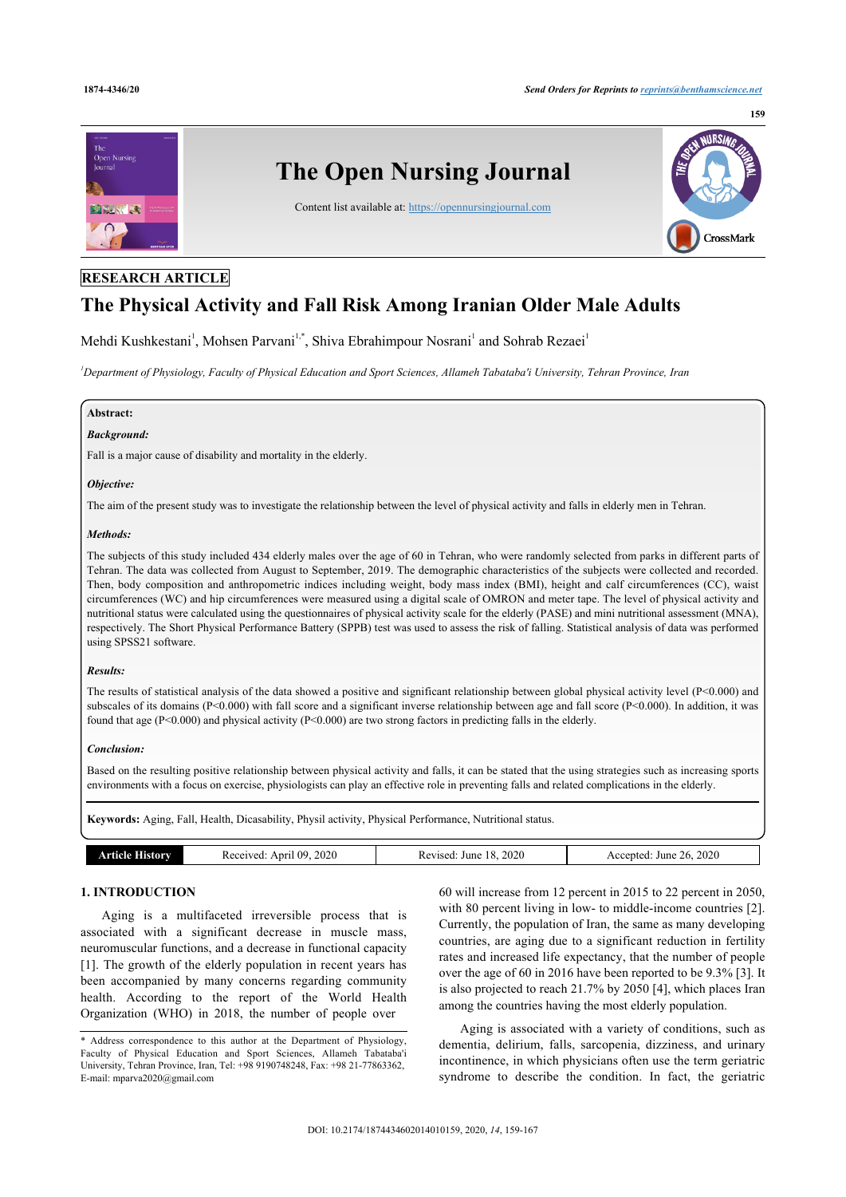

# **RESEARCH ARTICLE**

# **The Physical Activity and Fall Risk Among Iranian Older Male Adults**

Mehdi Kushkestani<sup>[1](#page-0-0)</sup>, Mohsen Parvani<sup>[1,](#page-0-0)[\\*](#page-0-1)</sup>, Shiva Ebrahimpour Nosrani<sup>1</sup> and Sohrab Rezaei<sup>1</sup>

<span id="page-0-0"></span>*<sup>1</sup>Department of Physiology, Faculty of Physical Education and Sport Sciences, Allameh Tabataba'i University, Tehran Province, Iran*

# **Abstract:**

#### *Background:*

Fall is a major cause of disability and mortality in the elderly.

#### *Objective:*

The aim of the present study was to investigate the relationship between the level of physical activity and falls in elderly men in Tehran.

### *Methods:*

The subjects of this study included 434 elderly males over the age of 60 in Tehran, who were randomly selected from parks in different parts of Tehran. The data was collected from August to September, 2019. The demographic characteristics of the subjects were collected and recorded. Then, body composition and anthropometric indices including weight, body mass index (BMI), height and calf circumferences (CC), waist circumferences (WC) and hip circumferences were measured using a digital scale of OMRON and meter tape. The level of physical activity and nutritional status were calculated using the questionnaires of physical activity scale for the elderly (PASE) and mini nutritional assessment (MNA), respectively. The Short Physical Performance Battery (SPPB) test was used to assess the risk of falling. Statistical analysis of data was performed using SPSS21 software.

### *Results:*

The results of statistical analysis of the data showed a positive and significant relationship between global physical activity level (P<0.000) and subscales of its domains (P<0.000) with fall score and a significant inverse relationship between age and fall score (P<0.000). In addition, it was found that age (P<0.000) and physical activity (P<0.000) are two strong factors in predicting falls in the elderly.

### *Conclusion:*

Based on the resulting positive relationship between physical activity and falls, it can be stated that the using strategies such as increasing sports environments with a focus on exercise, physiologists can play an effective role in preventing falls and related complications in the elderly.

**Keywords:** Aging, Fall, Health, Dicasability, Physil activity, Physical Performance, Nutritional status.

| $\sqrt{2}$ | 2020<br>- 114<br>Anril<br>ceived | 2020<br>June<br>∀ised.<br>$\sim$<br>nc | 2020<br>June<br>enten.<br>76.<br>AC<br>. |
|------------|----------------------------------|----------------------------------------|------------------------------------------|
|            |                                  |                                        |                                          |

# **1. INTRODUCTION**

Aging is a multifaceted irreversible process that is associated with a significant decrease in muscle mass, neuromuscular functions, and a decrease in functional capacity [[1](#page-7-0)]. The growth of the elderly population in recent years has been accompanied by many concerns regarding community health. According to the report of the World Health Organization (WHO) in 2018, the number of people over

60 will increase from 12 percent in 2015 to 22 percent in 2050, with 80 percent living in low- to middle-income countries [[2](#page-7-1)]. Currently, the population of Iran, the same as many developing countries, are aging due to a significant reduction in fertility rates and increased life expectancy, that the number of people over the age of 60 in 2016 have been reported to be 9.3% [[3\]](#page-7-2). It is also projected to reach 21.7% by 2050 [\[4\]](#page-7-3), which places Iran among the countries having the most elderly population.

Aging is associated with a variety of conditions, such as dementia, delirium, falls, sarcopenia, dizziness, and urinary incontinence, in which physicians often use the term geriatric syndrome to describe the condition. In fact, the geriatric

<span id="page-0-1"></span><sup>\*</sup> Address correspondence to this author at the Department of Physiology, Faculty of Physical Education and Sport Sciences, Allameh Tabataba'i University, Tehran Province, Iran, Tel: +98 9190748248, Fax: +98 21-77863362, E-mail: [mparva2020@gmail.com](mailto:mparva2020@gmail.com)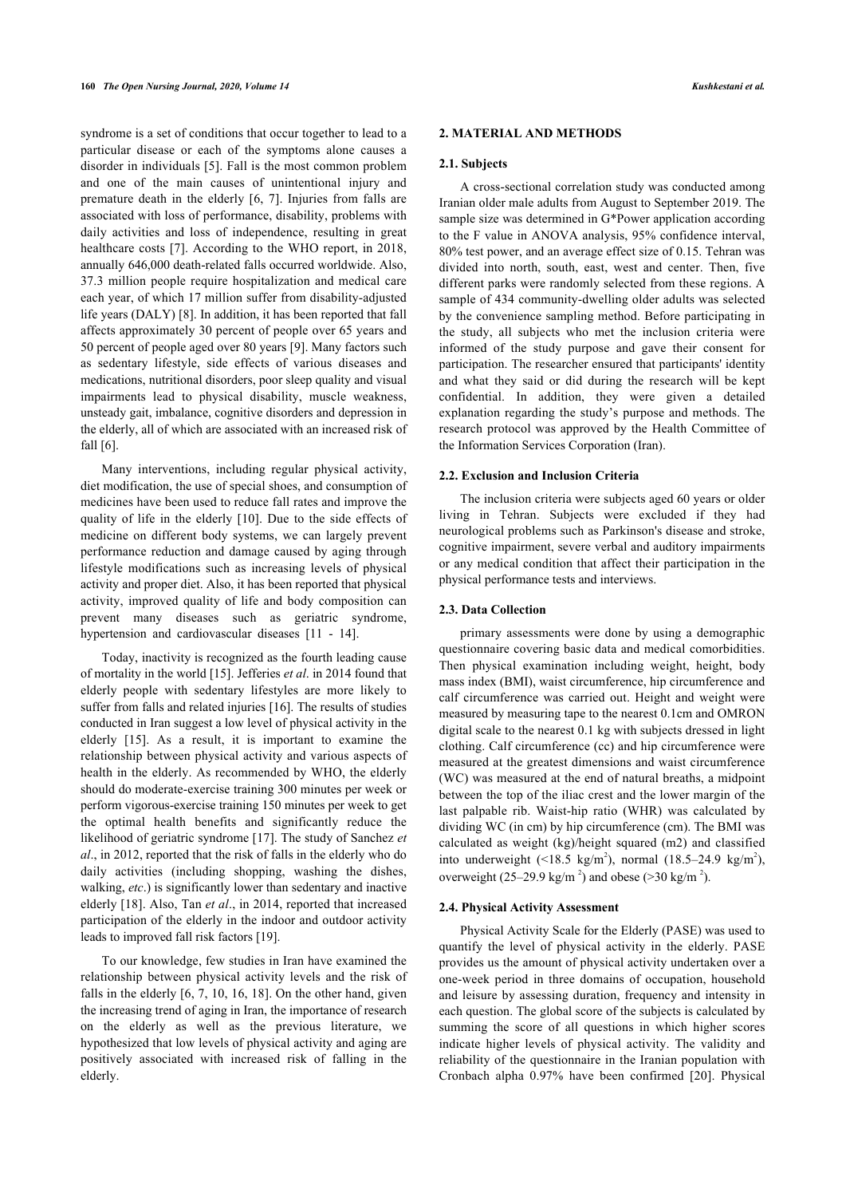syndrome is a set of conditions that occur together to lead to a particular disease or each of the symptoms alone causes a disorder in individuals [[5](#page-7-4)]. Fall is the most common problem and one of the main causes of unintentional injury and premature death in the elderly [[6](#page-7-5), [7\]](#page-7-6). Injuries from falls are associated with loss of performance, disability, problems with daily activities and loss of independence, resulting in great healthcare costs [[7](#page-7-6)]. According to the WHO report, in 2018, annually 646,000 death-related falls occurred worldwide. Also, 37.3 million people require hospitalization and medical care each year, of which 17 million suffer from disability-adjusted life years (DALY) [[8](#page-7-7)]. In addition, it has been reported that fall affects approximately 30 percent of people over 65 years and 50 percent of people aged over 80 years [\[9\]](#page-7-8). Many factors such as sedentary lifestyle, side effects of various diseases and medications, nutritional disorders, poor sleep quality and visual impairments lead to physical disability, muscle weakness, unsteady gait, imbalance, cognitive disorders and depression in the elderly, all of which are associated with an increased risk of fall [[6](#page-7-5)].

Many interventions, including regular physical activity, diet modification, the use of special shoes, and consumption of medicines have been used to reduce fall rates and improve the quality of life in the elderly [\[10](#page-7-9)]. Due to the side effects of medicine on different body systems, we can largely prevent performance reduction and damage caused by aging through lifestyle modifications such as increasing levels of physical activity and proper diet. Also, it has been reported that physical activity, improved quality of life and body composition can prevent many diseases such as geriatric syndrome, hypertension and cardiovascular diseases [\[11](#page-7-10) - [14\]](#page-7-11).

Today, inactivity is recognized as the fourth leading cause of mortality in the world [\[15](#page-7-12)]. Jefferies *et al*. in 2014 found that elderly people with sedentary lifestyles are more likely to suffer from falls and related injuries [[16\]](#page-7-13). The results of studies conducted in Iran suggest a low level of physical activity in the elderly[[15\]](#page-7-12). As a result, it is important to examine the relationship between physical activity and various aspects of health in the elderly. As recommended by WHO, the elderly should do moderate-exercise training 300 minutes per week or perform vigorous-exercise training 150 minutes per week to get the optimal health benefits and significantly reduce the likelihood of geriatric syndrome [[17\]](#page-7-14). The study of Sanchez *et al*., in 2012, reported that the risk of falls in the elderly who do daily activities (including shopping, washing the dishes, walking, *etc*.) is significantly lower than sedentary and inactive elderly [[18](#page-7-15)]. Also, Tan *et al*., in 2014, reported that increased participation of the elderly in the indoor and outdoor activity leads to improved fall risk factors [\[19](#page-7-16)].

To our knowledge, few studies in Iran have examined the relationship between physical activity levels and the risk of falls in the elderly [[6,](#page-7-5) [7](#page-7-6), [10](#page-7-9), [16](#page-7-13), [18](#page-7-15)]. On the other hand, given the increasing trend of aging in Iran, the importance of research on the elderly as well as the previous literature, we hypothesized that low levels of physical activity and aging are positively associated with increased risk of falling in the elderly.

### **2. MATERIAL AND METHODS**

### **2.1. Subjects**

A cross-sectional correlation study was conducted among Iranian older male adults from August to September 2019. The sample size was determined in G\*Power application according to the F value in ANOVA analysis, 95% confidence interval, 80% test power, and an average effect size of 0.15. Tehran was divided into north, south, east, west and center. Then, five different parks were randomly selected from these regions. A sample of 434 community-dwelling older adults was selected by the convenience sampling method. Before participating in the study, all subjects who met the inclusion criteria were informed of the study purpose and gave their consent for participation. The researcher ensured that participants' identity and what they said or did during the research will be kept confidential. In addition, they were given a detailed explanation regarding the study's purpose and methods. The research protocol was approved by the Health Committee of the Information Services Corporation (Iran).

### **2.2. Exclusion and Inclusion Criteria**

The inclusion criteria were subjects aged 60 years or older living in Tehran. Subjects were excluded if they had neurological problems such as Parkinson's disease and stroke, cognitive impairment, severe verbal and auditory impairments or any medical condition that affect their participation in the physical performance tests and interviews.

### **2.3. Data Collection**

primary assessments were done by using a demographic questionnaire covering basic data and medical comorbidities. Then physical examination including weight, height, body mass index (BMI), waist circumference, hip circumference and calf circumference was carried out. Height and weight were measured by measuring tape to the nearest 0.1cm and OMRON digital scale to the nearest 0.1 kg with subjects dressed in light clothing. Calf circumference (cc) and hip circumference were measured at the greatest dimensions and waist circumference (WC) was measured at the end of natural breaths, a midpoint between the top of the iliac crest and the lower margin of the last palpable rib. Waist-hip ratio (WHR) was calculated by dividing WC (in cm) by hip circumference (cm). The BMI was calculated as weight (kg)/height squared (m2) and classified into underweight  $(\leq 18.5 \text{ kg/m}^2)$ , normal  $(18.5-24.9 \text{ kg/m}^2)$ , overweight  $(25-29.9 \text{ kg/m}^2)$  and obese (>30 kg/m<sup>2</sup>).

### **2.4. Physical Activity Assessment**

Physical Activity Scale for the Elderly (PASE) was used to quantify the level of physical activity in the elderly. PASE provides us the amount of physical activity undertaken over a one-week period in three domains of occupation, household and leisure by assessing duration, frequency and intensity in each question. The global score of the subjects is calculated by summing the score of all questions in which higher scores indicate higher levels of physical activity. The validity and reliability of the questionnaire in the Iranian population with Cronbach alpha 0.97% have been confirmed[[20\]](#page-7-17). Physical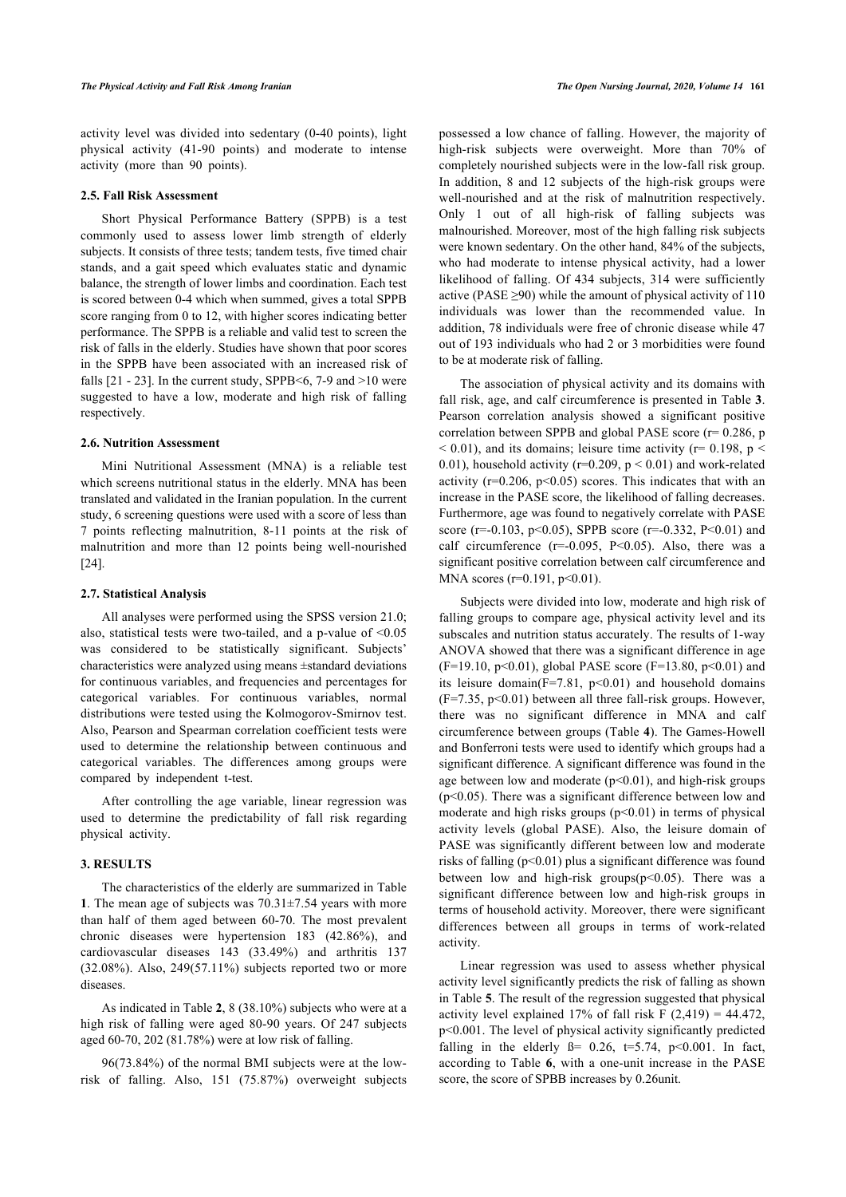activity level was divided into sedentary (0-40 points), light physical activity (41-90 points) and moderate to intense activity (more than 90 points).

## **2.5. Fall Risk Assessment**

Short Physical Performance Battery (SPPB) is a test commonly used to assess lower limb strength of elderly subjects. It consists of three tests; tandem tests, five timed chair stands, and a gait speed which evaluates static and dynamic balance, the strength of lower limbs and coordination. Each test is scored between 0-4 which when summed, gives a total SPPB score ranging from 0 to 12, with higher scores indicating better performance. The SPPB is a reliable and valid test to screen the risk of falls in the elderly. Studies have shown that poor scores in the SPPB have been associated with an increased risk of falls  $[21 - 23]$  $[21 - 23]$  $[21 - 23]$  $[21 - 23]$ . In the current study, SPPB<6, 7-9 and >10 were suggested to have a low, moderate and high risk of falling respectively.

### **2.6. Nutrition Assessment**

Mini Nutritional Assessment (MNA) is a reliable test which screens nutritional status in the elderly. MNA has been translated and validated in the Iranian population. In the current study, 6 screening questions were used with a score of less than 7 points reflecting malnutrition, 8-11 points at the risk of malnutrition and more than 12 points being well-nourished [[24\]](#page-7-20).

#### **2.7. Statistical Analysis**

All analyses were performed using the SPSS version 21.0; also, statistical tests were two-tailed, and a p-value of <0.05 was considered to be statistically significant. Subjects' characteristics were analyzed using means ±standard deviations for continuous variables, and frequencies and percentages for categorical variables. For continuous variables, normal distributions were tested using the Kolmogorov-Smirnov test. Also, Pearson and Spearman correlation coefficient tests were used to determine the relationship between continuous and categorical variables. The differences among groups were compared by independent t-test.

After controlling the age variable, linear regression was used to determine the predictability of fall risk regarding physical activity.

### **3. RESULTS**

The characteristics of the elderly are summarized in Table **[1](#page-3-0)**. The mean age of subjects was 70.31±7.54 years with more than half of them aged between 60-70. The most prevalent chronic diseases were hypertension 183 (42.86%), and cardiovascular diseases 143 (33.49%) and arthritis 137  $(32.08\%)$ . Also,  $249(57.11\%)$  subjects reported two or more diseases.

As indicated in Table **[2](#page-3-1)**, 8 (38.10%) subjects who were at a high risk of falling were aged 80-90 years. Of 247 subjects aged 60-70, 202 (81.78%) were at low risk of falling.

96(73.84%) of the normal BMI subjects were at the lowrisk of falling. Also, 151 (75.87%) overweight subjects

possessed a low chance of falling. However, the majority of high-risk subjects were overweight. More than 70% of completely nourished subjects were in the low-fall risk group. In addition, 8 and 12 subjects of the high-risk groups were well-nourished and at the risk of malnutrition respectively. Only 1 out of all high-risk of falling subjects was malnourished. Moreover, most of the high falling risk subjects were known sedentary. On the other hand, 84% of the subjects, who had moderate to intense physical activity, had a lower likelihood of falling. Of 434 subjects, 314 were sufficiently active (PASE  $\geq$ 90) while the amount of physical activity of 110 individuals was lower than the recommended value. In addition, 78 individuals were free of chronic disease while 47 out of 193 individuals who had 2 or 3 morbidities were found to be at moderate risk of falling.

The association of physical activity and its domains with fall risk, age, and calf circumference is presented in Table **[3](#page-3-2)**. Pearson correlation analysis showed a significant positive correlation between SPPB and global PASE score ( $r= 0.286$ , p  $<$  0.01), and its domains; leisure time activity ( $r=$  0.198,  $p<$ 0.01), household activity ( $r=0.209$ ,  $p < 0.01$ ) and work-related activity  $(r=0.206, p<0.05)$  scores. This indicates that with an increase in the PASE score, the likelihood of falling decreases. Furthermore, age was found to negatively correlate with PASE score (r=-0.103, p<0.05), SPPB score (r=-0.332, P<0.01) and calf circumference  $(r=-0.095, P<0.05)$ . Also, there was a significant positive correlation between calf circumference and MNA scores ( $r=0.191$ ,  $p<0.01$ ).

Subjects were divided into low, moderate and high risk of falling groups to compare age, physical activity level and its subscales and nutrition status accurately. The results of 1-way ANOVA showed that there was a significant difference in age  $(F=19.10, p<0.01)$ , global PASE score  $(F=13.80, p<0.01)$  and its leisure domain( $F=7.81$ ,  $p<0.01$ ) and household domains  $(F=7.35, p<0.01)$  between all three fall-risk groups. However, there was no significant difference in MNA and calf circumference between groups (Table **[4](#page-4-0)**). The Games-Howell and Bonferroni tests were used to identify which groups had a significant difference. A significant difference was found in the age between low and moderate  $(p<0.01)$ , and high-risk groups (p<0.05). There was a significant difference between low and moderate and high risks groups  $(p<0.01)$  in terms of physical activity levels (global PASE). Also, the leisure domain of PASE was significantly different between low and moderate risks of falling  $(p<0.01)$  plus a significant difference was found between low and high-risk groups( $p<0.05$ ). There was a significant difference between low and high-risk groups in terms of household activity. Moreover, there were significant differences between all groups in terms of work-related activity.

Linear regression was used to assess whether physical activity level significantly predicts the risk of falling as shown in Table **[5](#page-5-0)**. The result of the regression suggested that physical activity level explained 17% of fall risk  $F(2,419) = 44.472$ , p<0.001. The level of physical activity significantly predicted falling in the elderly  $\beta$ = 0.26, t=5.74, p<0.001. In fact, according to Table**6**, with a one-unit increase in the PASE score, the score of SPBB increases by 0.26unit.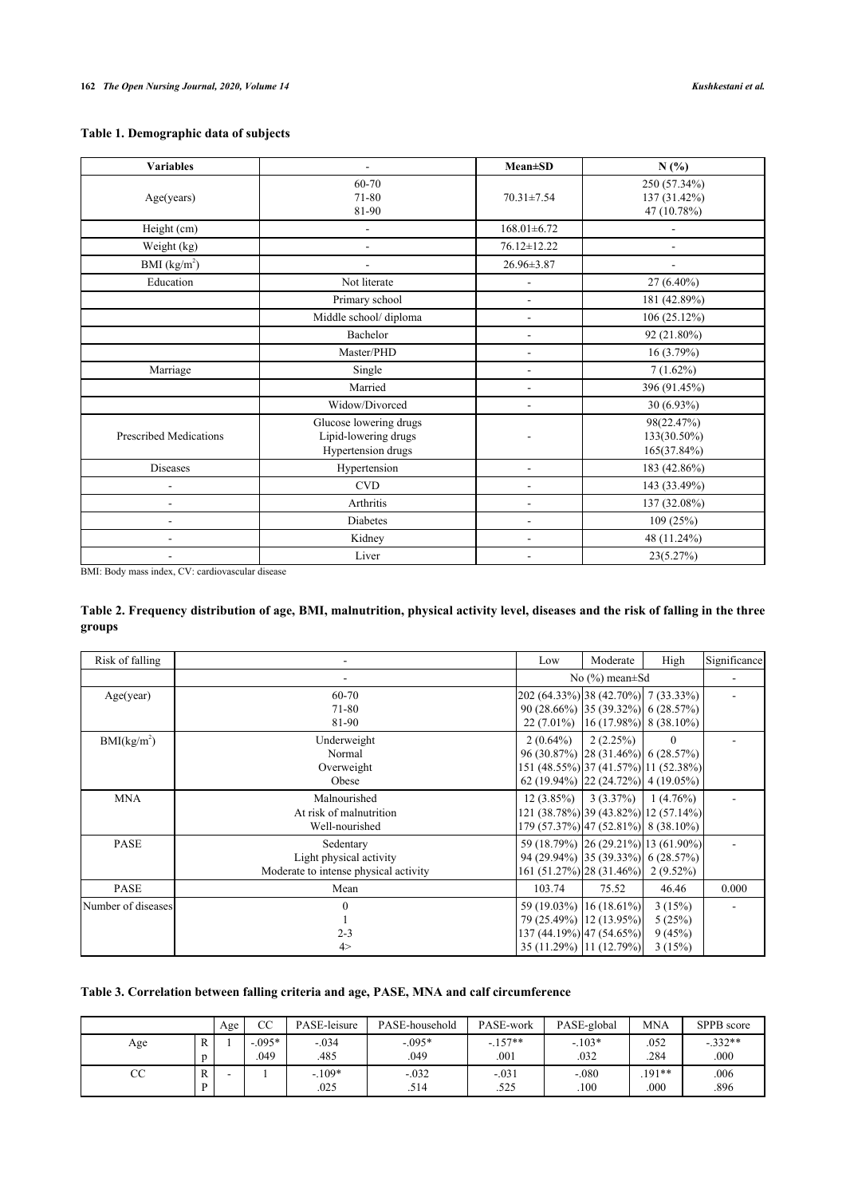# <span id="page-3-0"></span>**Table 1. Demographic data of subjects**

| <b>Variables</b>              |                                                                      | $Mean \pm SD$     | N(%)                                        |
|-------------------------------|----------------------------------------------------------------------|-------------------|---------------------------------------------|
| Age(years)                    | 60-70<br>71-80<br>81-90                                              | 70.31±7.54        | 250 (57.34%)<br>137 (31.42%)<br>47 (10.78%) |
| Height (cm)                   | $\blacksquare$                                                       | $168.01 \pm 6.72$ |                                             |
| Weight (kg)                   |                                                                      | 76.12±12.22       |                                             |
| BMI (kg/m <sup>2</sup> )      |                                                                      | 26.96±3.87        | $\overline{a}$                              |
| Education                     | Not literate                                                         | $\overline{a}$    | 27 (6.40%)                                  |
|                               | Primary school                                                       | ÷.                | 181 (42.89%)                                |
|                               | Middle school/ diploma                                               | $\overline{a}$    | 106(25.12%)                                 |
|                               | Bachelor                                                             |                   | 92 (21.80%)                                 |
|                               | Master/PHD                                                           | $\overline{a}$    | 16(3.79%)                                   |
| Marriage                      | Single                                                               | $\blacksquare$    | $7(1.62\%)$                                 |
|                               | Married                                                              | $\overline{a}$    | 396 (91.45%)                                |
|                               | Widow/Divorced                                                       | $\overline{a}$    | $30(6.93\%)$                                |
| <b>Prescribed Medications</b> | Glucose lowering drugs<br>Lipid-lowering drugs<br>Hypertension drugs | ÷.                | 98(22.47%)<br>133(30.50%)<br>165(37.84%)    |
| Diseases                      | Hypertension                                                         | $\overline{a}$    | 183 (42.86%)                                |
| $\blacksquare$                | <b>CVD</b>                                                           | $\overline{a}$    | 143 (33.49%)                                |
|                               | Arthritis                                                            | $\overline{a}$    | 137 (32.08%)                                |
|                               | <b>Diabetes</b>                                                      | $\overline{a}$    | 109(25%)                                    |
|                               | Kidney                                                               | L,                | 48 (11.24%)                                 |
|                               | Liver                                                                |                   | 23(5.27%)                                   |

BMI: Body mass index, CV: cardiovascular disease

# <span id="page-3-1"></span>**Table 2. Frequency distribution of age, BMI, malnutrition, physical activity level, diseases and the risk of falling in the three groups**

| Risk of falling         |                                                                               | Low                                                                                                                                 | Moderate                                                            | High                                 | Significance |
|-------------------------|-------------------------------------------------------------------------------|-------------------------------------------------------------------------------------------------------------------------------------|---------------------------------------------------------------------|--------------------------------------|--------------|
|                         |                                                                               |                                                                                                                                     | No $(\% )$ mean $\pm$ Sd                                            |                                      |              |
| Age(year)               | 60-70<br>71-80<br>81-90                                                       | 202 (64.33%) 38 (42.70%) 7 (33.33%)<br>90 (28.66%) [35 (39.32%)] 6 (28.57%)                                                         | 22 (7.01%) $\left  16 \right  (17.98\%) \left  8 \right  (38.10\%)$ |                                      |              |
| BMI(kg/m <sup>2</sup> ) | Underweight<br>Normal<br>Overweight<br>Obese                                  | $2(0.64\%)$<br>96 (30.87%) [28 (31.46%)] 6 (28.57%)<br>151 (48.55%) 37 (41.57%) 11 (52.38%)<br>62 (19.94%) [22 (24.72%)] 4 (19.05%) | 2(2.25%)                                                            | $\theta$                             |              |
| <b>MNA</b>              | Malnourished<br>At risk of malnutrition<br>Well-nourished                     | $12(3.85\%)$<br>121 (38.78%) 39 (43.82%) 12 (57.14%)<br>179 (57.37%) 47 (52.81%) 8 (38.10%)                                         |                                                                     | $3(3.37\%)$ 1 $(4.76\%)$             |              |
| <b>PASE</b>             | Sedentary<br>Light physical activity<br>Moderate to intense physical activity | 59 (18.79%) 26 (29.21%) 13 (61.90%)<br>94 (29.94%) 35 (39.33%) 6 (28.57%)<br>161 (51.27%) 28 (31.46%) 2 (9.52%)                     |                                                                     |                                      |              |
| <b>PASE</b>             | Mean                                                                          | 103.74                                                                                                                              | 75.52                                                               | 46.46                                | 0.000        |
| Number of diseases      | $2 - 3$<br>4>                                                                 | 59 (19.03%) [16 (18.61%)]<br>79 (25.49%) [12 (13.95%)]<br>137 (44.19%) 47 (54.65%)<br>35 (11.29%) 11 (12.79%)                       |                                                                     | 3(15%)<br>5(25%)<br>9(45%)<br>3(15%) |              |

# <span id="page-3-2"></span>**Table 3. Correlation between falling criteria and age, PASE, MNA and calf circumference**

|     |   | Age | СC        | PASE-leisure | PASE-household | PASE-work | PASE-global | <b>MNA</b> | SPPB score |
|-----|---|-----|-----------|--------------|----------------|-----------|-------------|------------|------------|
| Age |   |     | $-0.095*$ | $-.034$      | $-0.095*$      | $-.157**$ | $-103*$     | .052       | $-.332**$  |
|     |   |     | .049      | .485         | .049           | .001      | .032        | .284       | .000       |
| CС  | R | -   |           | $-109*$      | $-.032$        | $-.031$   | $-.080$     | $.191**$   | .006       |
|     | D |     |           | .025         | .514           | .525      | .100        | .000       | .896       |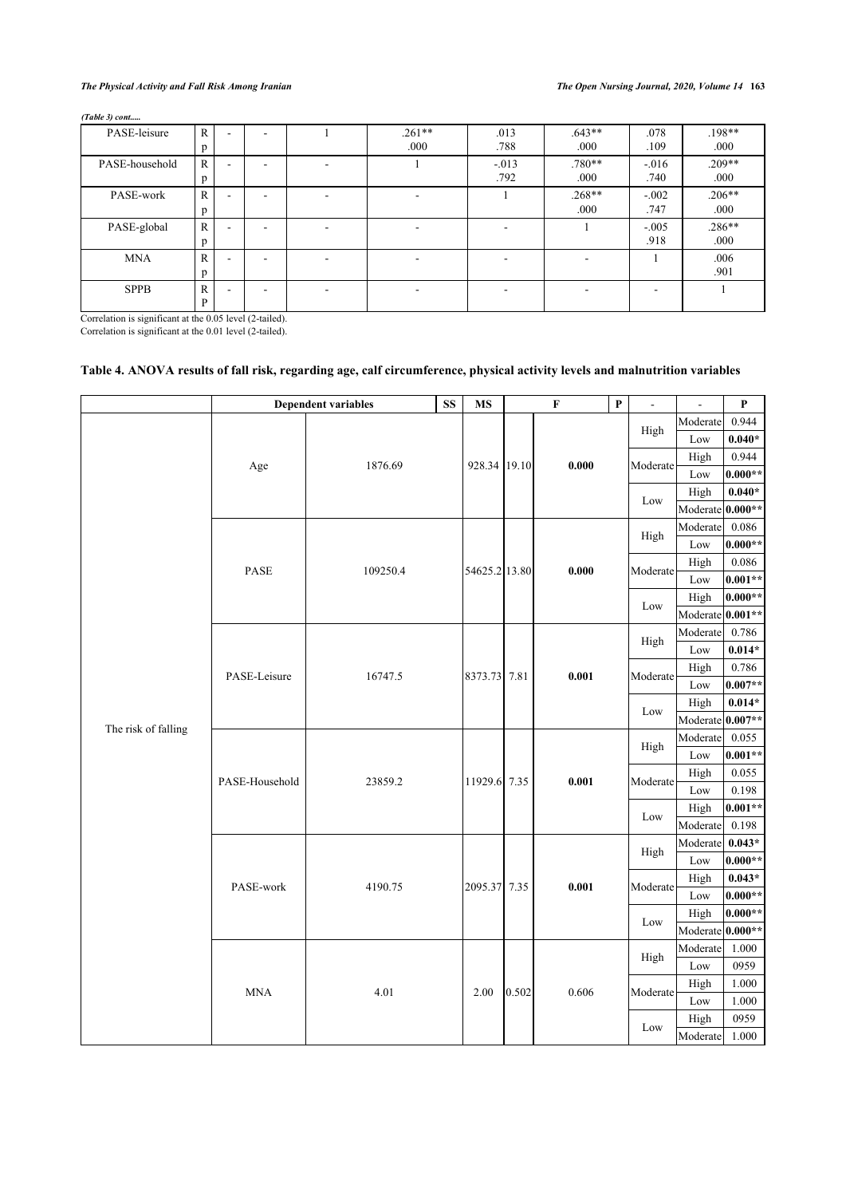# *The Physical Activity and Fall Risk Among Iranian The Open Nursing Journal, 2020, Volume 14* **163**

*(Table 3) cont.....*

| PASE-leisure   | R<br>D            | -                        | - | $.261**$<br>.000 | .013<br>.788    | $.643**$<br>.000 | .078<br>.109     | $.198**$<br>.000 |
|----------------|-------------------|--------------------------|---|------------------|-----------------|------------------|------------------|------------------|
| PASE-household | $\mathbb{R}$<br>p | ۰                        | - |                  | $-.013$<br>.792 | $.780**$<br>.000 | $-0.016$<br>.740 | $.209**$<br>.000 |
| PASE-work      | R<br>p            | $\overline{\phantom{a}}$ | ۰ |                  |                 | $.268**$<br>.000 | $-.002$<br>.747  | $.206**$<br>.000 |
| PASE-global    | R<br>D            |                          | - |                  |                 |                  | $-.005$<br>.918  | $.286**$<br>.000 |
| <b>MNA</b>     | R<br>D            | $\sim$                   | - |                  |                 | ۰                |                  | .006<br>.901     |
| <b>SPPB</b>    | R<br>D            | -                        | - |                  |                 | -                |                  |                  |

Correlation is significant at the 0.05 level (2-tailed). Correlation is significant at the 0.01 level (2-tailed).

# <span id="page-4-0"></span>**Table 4. ANOVA results of fall risk, regarding age, calf circumference, physical activity levels and malnutrition variables**

|                     |                | <b>Dependent variables</b> | SS | <b>MS</b>     |       | $\mathbf F$ | $\mathbf{P}$ | $\overline{a}$ | $\overline{a}$   | $\boldsymbol{\mathrm{P}}$ |
|---------------------|----------------|----------------------------|----|---------------|-------|-------------|--------------|----------------|------------------|---------------------------|
|                     |                |                            |    |               |       |             |              |                | Moderate         | 0.944                     |
|                     |                |                            |    |               |       |             |              | High           | Low              | $0.040*$                  |
|                     |                | 1876.69                    |    | 928.34 19.10  |       | 0.000       |              | Moderate       | High             | 0.944                     |
|                     | Age            |                            |    |               |       |             |              |                | Low              | $0.000**$                 |
|                     |                |                            |    |               |       |             |              | Low            | High             | $0.040\,^{\star}$         |
|                     |                |                            |    |               |       |             |              |                | Moderate 0.000** |                           |
|                     |                |                            |    |               |       |             |              | High           | Moderate         | 0.086                     |
|                     |                |                            |    |               |       |             |              |                | Low              | $0.000**$                 |
|                     | PASE           | 109250.4                   |    | 54625.2 13.80 |       | 0.000       |              | Moderate       | High             | $0.086\,$                 |
|                     |                |                            |    |               |       |             |              |                | Low              | $0.001**$                 |
|                     |                |                            |    |               |       |             |              | Low            | High             | $0.000**$                 |
|                     |                |                            |    |               |       |             |              |                | Moderate 0.001** |                           |
|                     |                |                            |    |               |       |             |              | High           | Moderate         | 0.786                     |
|                     |                | 16747.5                    |    |               |       |             |              |                | Low              | $0.014*$                  |
|                     | PASE-Leisure   |                            |    | 8373.73 7.81  |       | 0.001       |              | Moderate       | High             | 0.786                     |
|                     |                |                            |    |               |       |             |              |                | Low              | $0.007**$                 |
|                     |                |                            |    |               |       |             |              | Low            | High             | $0.014*$                  |
| The risk of falling |                |                            |    |               |       |             |              |                | Moderate 0.007** |                           |
|                     |                | 23859.2                    |    |               |       |             | High         | Moderate       | 0.055            |                           |
|                     |                |                            |    | 11929.6 7.35  |       |             |              |                | Low              | $0.001**$                 |
|                     | PASE-Household |                            |    |               |       | 0.001       |              | Moderate       | High             | 0.055                     |
|                     |                |                            |    |               |       |             |              |                | Low              | 0.198                     |
|                     |                |                            |    |               |       |             |              | Low            | High             | $0.001**$                 |
|                     |                |                            |    |               |       |             |              |                | Moderate         | 0.198                     |
|                     |                |                            |    |               |       |             |              | High           | Moderate         | $0.043*$                  |
|                     |                |                            |    |               |       |             |              |                | Low              | $0.000**$                 |
|                     | PASE-work      | 4190.75                    |    | 2095.37 7.35  |       | 0.001       |              | Moderate       | High             | $0.043*$                  |
|                     |                |                            |    |               |       |             |              |                | Low              | $0.000**$                 |
|                     |                |                            |    |               |       |             |              | Low            | High             | $0.000**$                 |
|                     |                |                            |    |               |       |             |              |                | Moderate 0.000** |                           |
|                     |                |                            |    |               |       |             |              | High           | Moderate         | 1.000                     |
|                     |                |                            |    |               |       |             |              |                | Low              | 0959                      |
|                     | <b>MNA</b>     | 4.01                       |    | 2.00          | 0.502 | 0.606       |              | Moderate       | High             | 1.000                     |
|                     |                |                            |    |               |       |             |              |                | Low              | 1.000                     |
|                     |                |                            |    |               |       |             |              | Low            | High             | 0959                      |
|                     |                |                            |    |               |       |             |              |                | Moderate         | 1.000                     |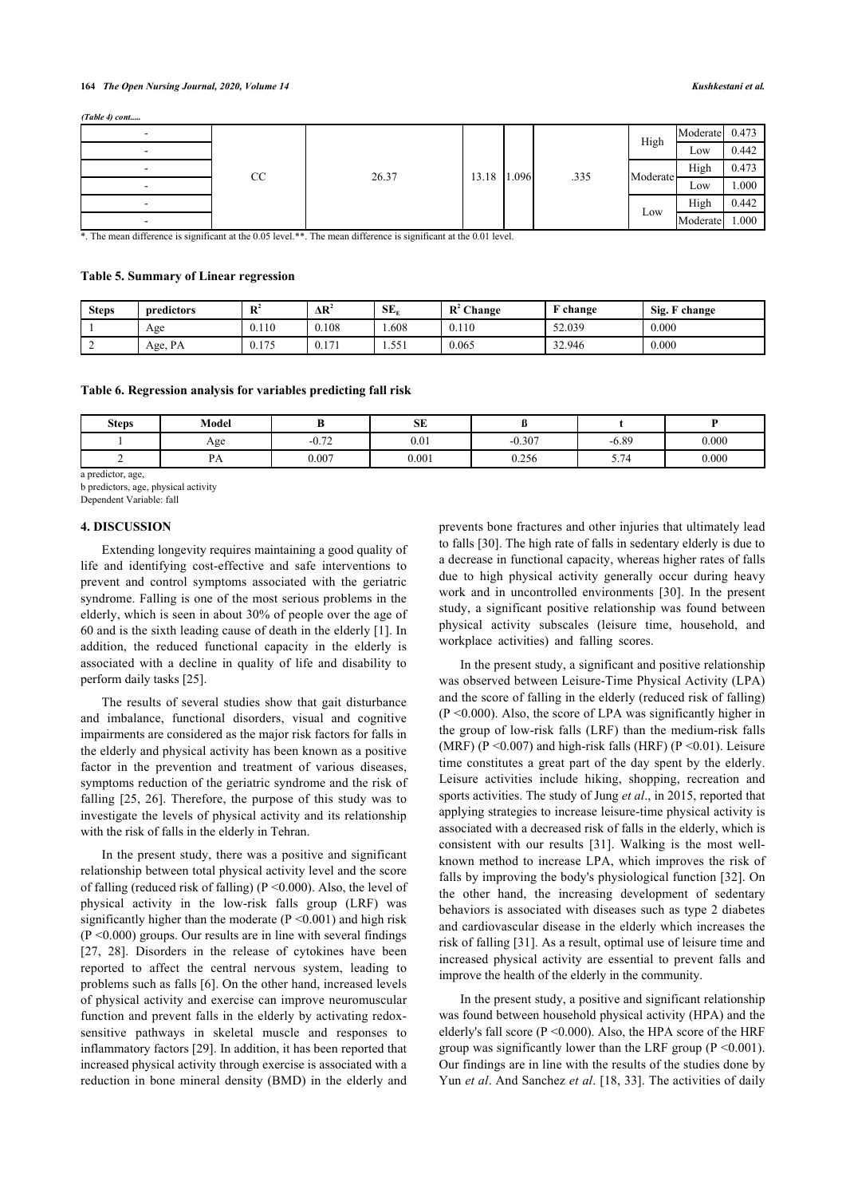#### **164** *The Open Nursing Journal, 2020, Volume 14 Kushkestani et al.*

*(Table 4) cont.....*

|    |       |       |       |      |          | Moderate 0.473 |       |
|----|-------|-------|-------|------|----------|----------------|-------|
|    |       |       |       |      | High     | Low            | 0.442 |
| CC | 26.37 | 13.18 | 1.096 | .335 | Moderate | High           | 0.473 |
|    |       |       |       |      |          | Low            | 000.1 |
|    |       |       |       |      | Low      | High           | 0.442 |
|    |       |       |       |      |          | Moderate       | 1.000 |

\*. The mean difference is significant at the 0.05 level.\*\*. The mean difference is significant at the 0.01 level.

# <span id="page-5-0"></span>**Table 5. Summary of Linear regression**

| <b>Steps</b> | predictors | $\mathbf{D}^2$<br>в | ΔR <sup>4</sup> | $SE_r$ | $\bf R$<br>Change | $\sim$<br>change | Sig. F<br>$\mathbf{\nabla}$ change |
|--------------|------------|---------------------|-----------------|--------|-------------------|------------------|------------------------------------|
|              | Age        | 0.110               | 0.108           | .608   | 0.110             | 52.039           | 0.000                              |
| ∸            | Age, PA    | 0.175               | 0.171           | 1.551  | 0.065             | 32.946           | 0.000                              |

#### <span id="page-5-1"></span>**Table 6. Regression analysis for variables predicting fall risk**

| <b>Steps</b> | Model              |         | <b>SE</b> |          |                                            |       |
|--------------|--------------------|---------|-----------|----------|--------------------------------------------|-------|
|              | Age                | $-0.72$ | 0.01      | $-0.307$ | $-6.89$                                    | 0.000 |
| -            | D.<br>$\mathbf{L}$ | 0.007   | 0.001     | 0.256    | $\overline{\phantom{0}}$<br>74<br>$\sim$ – | 0.000 |

a predictor, age,

b predictors, age, physical activity

Dependent Variable: fall

### **4. DISCUSSION**

Extending longevity requires maintaining a good quality of life and identifying cost-effective and safe interventions to prevent and control symptoms associated with the geriatric syndrome. Falling is one of the most serious problems in the elderly, which is seen in about 30% of people over the age of 60 and is the sixth leading cause of death in the elderly [\[1\]](#page-7-0). In addition, the reduced functional capacity in the elderly is associated with a decline in quality of life and disability to perform daily tasks [\[25](#page-7-21)].

The results of several studies show that gait disturbance and imbalance, functional disorders, visual and cognitive impairments are considered as the major risk factors for falls in the elderly and physical activity has been known as a positive factor in the prevention and treatment of various diseases, symptoms reduction of the geriatric syndrome and the risk of falling [\[25,](#page-7-21) [26\]](#page-7-22). Therefore, the purpose of this study was to investigate the levels of physical activity and its relationship with the risk of falls in the elderly in Tehran.

In the present study, there was a positive and significant relationship between total physical activity level and the score of falling (reduced risk of falling) ( $P \le 0.000$ ). Also, the level of physical activity in the low-risk falls group (LRF) was significantly higher than the moderate  $(P \le 0.001)$  and high risk  $(P \le 0.000)$  groups. Our results are in line with several findings [[27,](#page-7-23) [28](#page-8-0)]. Disorders in the release of cytokines have been reported to affect the central nervous system, leading to problems such as falls [[6\]](#page-7-5). On the other hand, increased levels of physical activity and exercise can improve neuromuscular function and prevent falls in the elderly by activating redoxsensitive pathways in skeletal muscle and responses to inflammatory factors [\[29](#page-8-1)]. In addition, it has been reported that increased physical activity through exercise is associated with a reduction in bone mineral density (BMD) in the elderly and

prevents bone fractures and other injuries that ultimately lead to falls [\[30](#page-8-2)]. The high rate of falls in sedentary elderly is due to a decrease in functional capacity, whereas higher rates of falls due to high physical activity generally occur during heavy work and in uncontrolled environments[[30](#page-8-2)]. In the present study, a significant positive relationship was found between physical activity subscales (leisure time, household, and workplace activities) and falling scores.

In the present study, a significant and positive relationship was observed between Leisure-Time Physical Activity (LPA) and the score of falling in the elderly (reduced risk of falling)  $(P \le 0.000)$ . Also, the score of LPA was significantly higher in the group of low-risk falls (LRF) than the medium-risk falls (MRF) (P <  $0.007$ ) and high-risk falls (HRF) (P <  $0.01$ ). Leisure time constitutes a great part of the day spent by the elderly. Leisure activities include hiking, shopping, recreation and sports activities. The study of Jung *et al*., in 2015, reported that applying strategies to increase leisure-time physical activity is associated with a decreased risk of falls in the elderly, which is consistent with our results[[31](#page-8-3)]. Walking is the most wellknown method to increase LPA, which improves the risk of falls by improving the body's physiological function [\[32](#page-8-4)]. On the other hand, the increasing development of sedentary behaviors is associated with diseases such as type 2 diabetes and cardiovascular disease in the elderly which increases the risk of falling [\[31\]](#page-8-3). As a result, optimal use of leisure time and increased physical activity are essential to prevent falls and improve the health of the elderly in the community.

In the present study, a positive and significant relationship was found between household physical activity (HPA) and the elderly's fall score (P <0.000). Also, the HPA score of the HRF group was significantly lower than the LRF group ( $P \le 0.001$ ). Our findings are in line with the results of the studies done by Yun *et al*. And Sanchez *et al*. [\[18,](#page-7-15) [33\]](#page-8-5). The activities of daily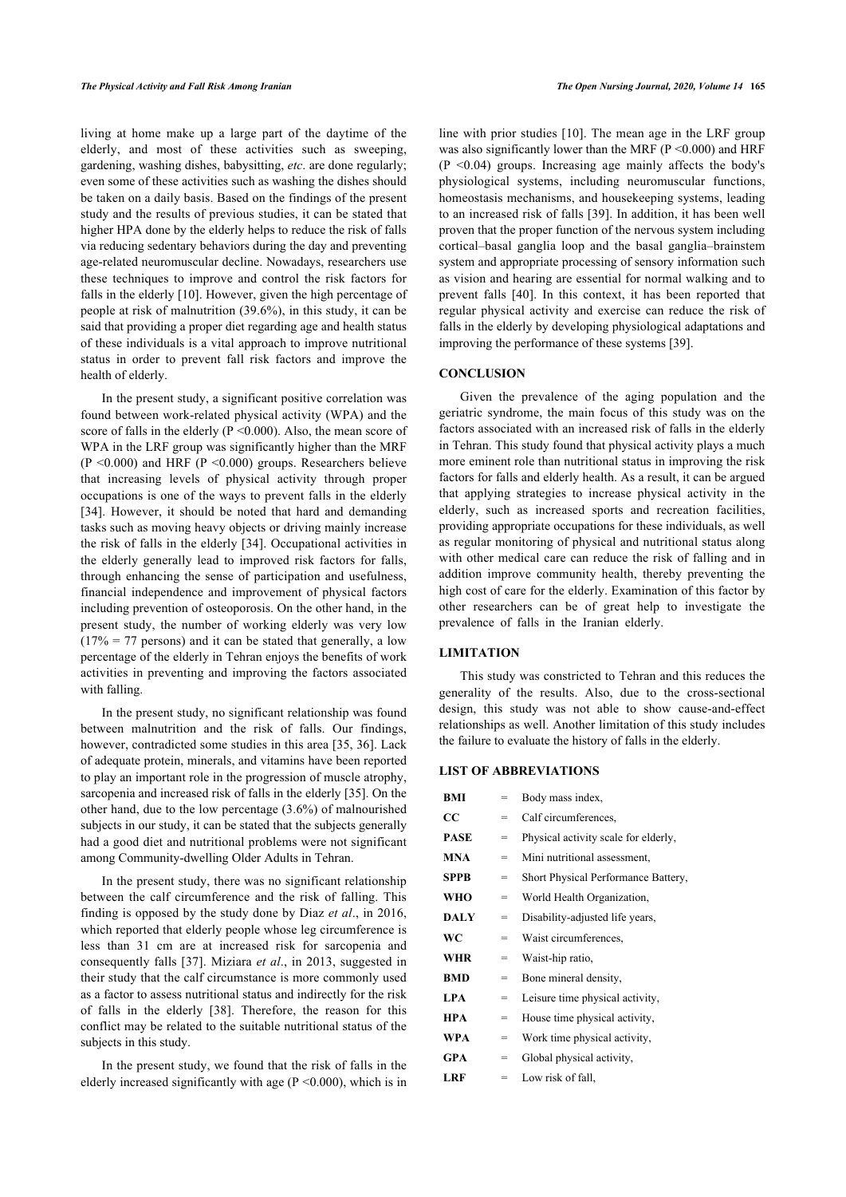living at home make up a large part of the daytime of the elderly, and most of these activities such as sweeping, gardening, washing dishes, babysitting, *etc*. are done regularly; even some of these activities such as washing the dishes should be taken on a daily basis. Based on the findings of the present study and the results of previous studies, it can be stated that higher HPA done by the elderly helps to reduce the risk of falls via reducing sedentary behaviors during the day and preventing age-related neuromuscular decline. Nowadays, researchers use these techniques to improve and control the risk factors for falls in the elderly [\[10](#page-7-9)]. However, given the high percentage of people at risk of malnutrition (39.6%), in this study, it can be said that providing a proper diet regarding age and health status of these individuals is a vital approach to improve nutritional status in order to prevent fall risk factors and improve the health of elderly.

In the present study, a significant positive correlation was found between work-related physical activity (WPA) and the score of falls in the elderly  $(P \le 0.000)$ . Also, the mean score of WPA in the LRF group was significantly higher than the MRF  $(P \le 0.000)$  and HRF  $(P \le 0.000)$  groups. Researchers believe that increasing levels of physical activity through proper occupations is one of the ways to prevent falls in the elderly [[34\]](#page-8-6). However, it should be noted that hard and demanding tasks such as moving heavy objects or driving mainly increase the risk of falls in the elderly [\[34](#page-8-6)]. Occupational activities in the elderly generally lead to improved risk factors for falls, through enhancing the sense of participation and usefulness, financial independence and improvement of physical factors including prevention of osteoporosis. On the other hand, in the present study, the number of working elderly was very low  $(17\% = 77$  persons) and it can be stated that generally, a low percentage of the elderly in Tehran enjoys the benefits of work activities in preventing and improving the factors associated with falling.

In the present study, no significant relationship was found between malnutrition and the risk of falls. Our findings, however, contradicted some studies in this area [[35](#page-8-7), [36](#page-8-8)]. Lack of adequate protein, minerals, and vitamins have been reported to play an important role in the progression of muscle atrophy, sarcopenia and increased risk of falls in the elderly [\[35](#page-8-7)]. On the other hand, due to the low percentage (3.6%) of malnourished subjects in our study, it can be stated that the subjects generally had a good diet and nutritional problems were not significant among Community-dwelling Older Adults in Tehran.

In the present study, there was no significant relationship between the calf circumference and the risk of falling. This finding is opposed by the study done by Diaz *et al*., in 2016, which reported that elderly people whose leg circumference is less than 31 cm are at increased risk for sarcopenia and consequently falls [[37\]](#page-8-9). Miziara *et al*., in 2013, suggested in their study that the calf circumstance is more commonly used as a factor to assess nutritional status and indirectly for the risk of falls in the elderly[[38\]](#page-8-10). Therefore, the reason for this conflict may be related to the suitable nutritional status of the subjects in this study.

In the present study, we found that the risk of falls in the elderly increased significantly with age  $(P \le 0.000)$ , which is in line with prior studies [[10\]](#page-7-9). The mean age in the LRF group was also significantly lower than the MRF ( $P \le 0.000$ ) and HRF (P <0.04) groups. Increasing age mainly affects the body's physiological systems, including neuromuscular functions, homeostasis mechanisms, and housekeeping systems, leading to an increased risk of falls [[39\]](#page-8-11). In addition, it has been well proven that the proper function of the nervous system including cortical–basal ganglia loop and the basal ganglia–brainstem system and appropriate processing of sensory information such as vision and hearing are essential for normal walking and to prevent falls [\[40\]](#page-8-12). In this context, it has been reported that regular physical activity and exercise can reduce the risk of falls in the elderly by developing physiological adaptations and improving the performance of these systems [[39\]](#page-8-11).

# **CONCLUSION**

Given the prevalence of the aging population and the geriatric syndrome, the main focus of this study was on the factors associated with an increased risk of falls in the elderly in Tehran. This study found that physical activity plays a much more eminent role than nutritional status in improving the risk factors for falls and elderly health. As a result, it can be argued that applying strategies to increase physical activity in the elderly, such as increased sports and recreation facilities, providing appropriate occupations for these individuals, as well as regular monitoring of physical and nutritional status along with other medical care can reduce the risk of falling and in addition improve community health, thereby preventing the high cost of care for the elderly. Examination of this factor by other researchers can be of great help to investigate the prevalence of falls in the Iranian elderly.

#### **LIMITATION**

This study was constricted to Tehran and this reduces the generality of the results. Also, due to the cross-sectional design, this study was not able to show cause-and-effect relationships as well. Another limitation of this study includes the failure to evaluate the history of falls in the elderly.

# **LIST OF ABBREVIATIONS**

| BMI         | $=$ | Body mass index,                     |
|-------------|-----|--------------------------------------|
| CC          | $=$ | Calf circumferences.                 |
| <b>PASE</b> | $=$ | Physical activity scale for elderly, |
| <b>MNA</b>  | $=$ | Mini nutritional assessment,         |
| <b>SPPB</b> | $=$ | Short Physical Performance Battery,  |
| <b>WHO</b>  | $=$ | World Health Organization,           |
| <b>DALY</b> | $=$ | Disability-adjusted life years,      |
| WC          | $=$ | Waist circumferences.                |
| <b>WHR</b>  | =   | Waist-hip ratio,                     |
| <b>BMD</b>  | =   | Bone mineral density,                |
| <b>LPA</b>  | =   | Leisure time physical activity,      |
| <b>HPA</b>  | $=$ | House time physical activity,        |
| WPA         | $=$ | Work time physical activity,         |
| <b>GPA</b>  | $=$ | Global physical activity,            |
| <b>LRF</b>  | $=$ | Low risk of fall,                    |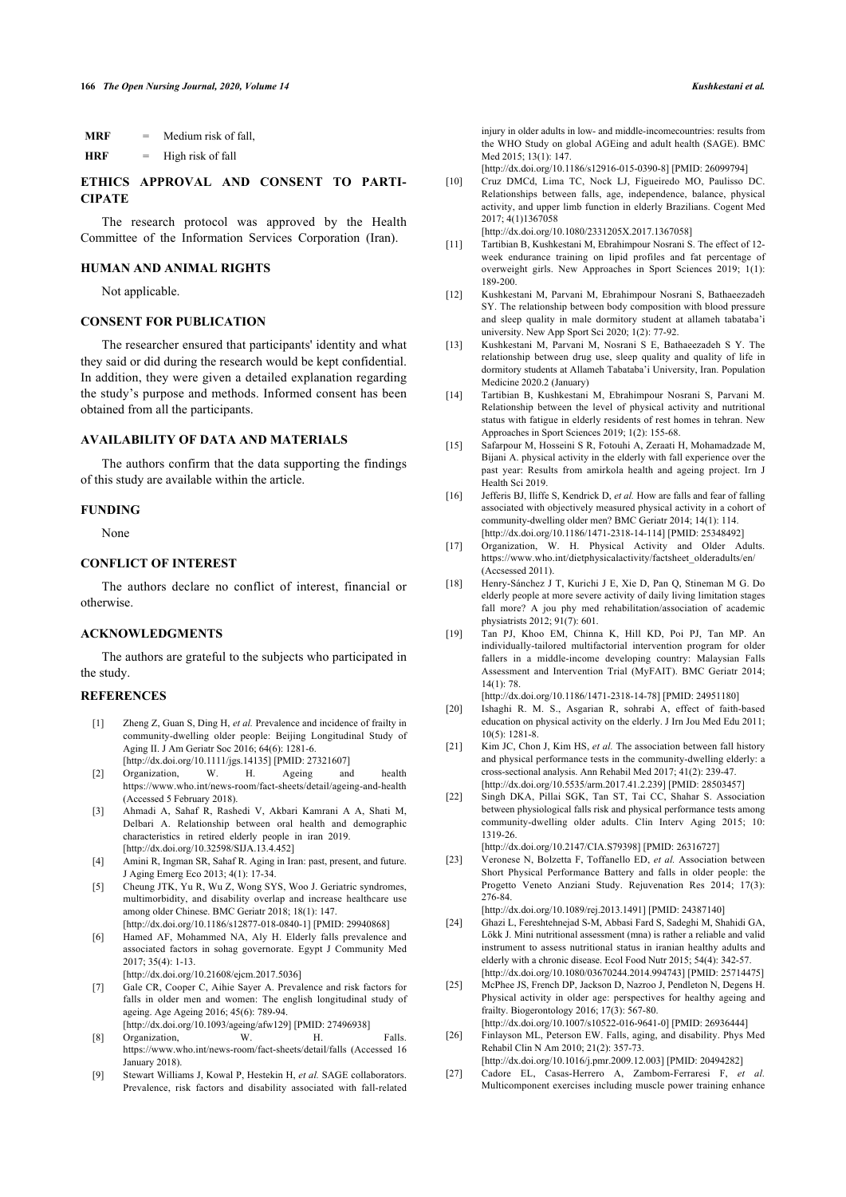| <b>MRF</b> | = | Medium risk of fall, |
|------------|---|----------------------|
| HRF        |   | High risk of fall    |

# <span id="page-7-9"></span>**ETHICS APPROVAL AND CONSENT TO PARTI-CIPATE**

<span id="page-7-10"></span>The research protocol was approved by the Health Committee of the Information Services Corporation (Iran).

### **HUMAN AND ANIMAL RIGHTS**

Not applicable.

### **CONSENT FOR PUBLICATION**

The researcher ensured that participants' identity and what they said or did during the research would be kept confidential. In addition, they were given a detailed explanation regarding the study's purpose and methods. Informed consent has been obtained from all the participants.

### <span id="page-7-12"></span><span id="page-7-11"></span>**AVAILABILITY OF DATA AND MATERIALS**

The authors confirm that the data supporting the findings of this study are available within the article.

### <span id="page-7-13"></span>**FUNDING**

None

### <span id="page-7-14"></span>**CONFLICT OF INTEREST**

<span id="page-7-15"></span>The authors declare no conflict of interest, financial or otherwise.

### <span id="page-7-16"></span>**ACKNOWLEDGMENTS**

The authors are grateful to the subjects who participated in the study.

### <span id="page-7-18"></span><span id="page-7-17"></span><span id="page-7-0"></span>**REFERENCES**

- [1] Zheng Z, Guan S, Ding H, *et al.* Prevalence and incidence of frailty in community-dwelling older people: Beijing Longitudinal Study of Aging II. J Am Geriatr Soc 2016; 64(6): 1281-6. [\[http://dx.doi.org/10.1111/jgs.14135\]](http://dx.doi.org/10.1111/jgs.14135) [PMID: [27321607](http://www.ncbi.nlm.nih.gov/pubmed/27321607)]
- <span id="page-7-1"></span>[2] Organization, W. H. Ageing and health <https://www.who.int/news-room/fact-sheets/detail/ageing-and-health> (Accessed 5 February 2018).
- <span id="page-7-2"></span>[3] Ahmadi A, Sahaf R, Rashedi V, Akbari Kamrani A A, Shati M, Delbari A. Relationship between oral health and demographic characteristics in retired elderly people in iran 2019. [\[http://dx.doi.org/10.32598/SIJA.13.4.452\]](http://dx.doi.org/10.32598/SIJA.13.4.452)
- <span id="page-7-19"></span><span id="page-7-3"></span>[4] Amini R, Ingman SR, Sahaf R. Aging in Iran: past, present, and future. J Aging Emerg Eco 2013; 4(1): 17-34.
- <span id="page-7-4"></span>[5] Cheung JTK, Yu R, Wu Z, Wong SYS, Woo J. Geriatric syndromes, multimorbidity, and disability overlap and increase healthcare use among older Chinese. BMC Geriatr 2018; 18(1): 147. [\[http://dx.doi.org/10.1186/s12877-018-0840-1](http://dx.doi.org/10.1186/s12877-018-0840-1)] [PMID: [29940868\]](http://www.ncbi.nlm.nih.gov/pubmed/29940868)
- <span id="page-7-20"></span><span id="page-7-5"></span>[6] Hamed AF, Mohammed NA, Aly H. Elderly falls prevalence and associated factors in sohag governorate. Egypt J Community Med 2017; 35(4): 1-13.
	- [\[http://dx.doi.org/10.21608/ejcm.2017.5036\]](http://dx.doi.org/10.21608/ejcm.2017.5036)
- <span id="page-7-21"></span><span id="page-7-6"></span>[7] Gale CR, Cooper C, Aihie Sayer A. Prevalence and risk factors for falls in older men and women: The english longitudinal study of ageing. Age Ageing 2016; 45(6): 789-94. [\[http://dx.doi.org/10.1093/ageing/afw129\]](http://dx.doi.org/10.1093/ageing/afw129) [PMID: [27496938](http://www.ncbi.nlm.nih.gov/pubmed/27496938)]
- <span id="page-7-22"></span><span id="page-7-7"></span>[8] Organization, W. H. Falls. <https://www.who.int/news-room/fact-sheets/detail/falls> (Accessed 16 January 2018).
- <span id="page-7-23"></span><span id="page-7-8"></span>[9] Stewart Williams J, Kowal P, Hestekin H, *et al.* SAGE collaborators. Prevalence, risk factors and disability associated with fall-related

injury in older adults in low- and middle-incomecountries: results from the WHO Study on global AGEing and adult health (SAGE). BMC Med 2015; 13(1): 147.

[\[http://dx.doi.org/10.1186/s12916-015-0390-8\]](http://dx.doi.org/10.1186/s12916-015-0390-8) [PMID: [26099794](http://www.ncbi.nlm.nih.gov/pubmed/26099794)]

[10] Cruz DMCd, Lima TC, Nock LJ, Figueiredo MO, Paulisso DC. Relationships between falls, age, independence, balance, physical activity, and upper limb function in elderly Brazilians. Cogent Med 2017; 4(1)1367058

[\[http://dx.doi.org/10.1080/2331205X.2017.1367058](http://dx.doi.org/10.1080/2331205X.2017.1367058)]

- [11] Tartibian B, Kushkestani M, Ebrahimpour Nosrani S. The effect of 12 week endurance training on lipid profiles and fat percentage of overweight girls. New Approaches in Sport Sciences 2019; 1(1): 189-200.
- [12] Kushkestani M, Parvani M, Ebrahimpour Nosrani S, Bathaeezadeh SY. The relationship between body composition with blood pressure and sleep quality in male dormitory student at allameh tabataba'i university. New App Sport Sci 2020; 1(2): 77-92.
- [13] Kushkestani M, Parvani M, Nosrani S E, Bathaeezadeh S Y. The relationship between drug use, sleep quality and quality of life in dormitory students at Allameh Tabataba'i University, Iran. Population Medicine 2020.2 (January)
- [14] Tartibian B, Kushkestani M, Ebrahimpour Nosrani S, Parvani M. Relationship between the level of physical activity and nutritional status with fatigue in elderly residents of rest homes in tehran. New Approaches in Sport Sciences 2019; 1(2): 155-68.
- [15] Safarpour M, Hosseini S R, Fotouhi A, Zeraati H, Mohamadzade M, Bijani A. physical activity in the elderly with fall experience over the past year: Results from amirkola health and ageing project. Irn J Health Sci 2019.
- [16] Jefferis BJ, Iliffe S, Kendrick D, *et al.* How are falls and fear of falling associated with objectively measured physical activity in a cohort of community-dwelling older men? BMC Geriatr 2014; 14(1): 114. [\[http://dx.doi.org/10.1186/1471-2318-14-114\]](http://dx.doi.org/10.1186/1471-2318-14-114) [PMID: [25348492\]](http://www.ncbi.nlm.nih.gov/pubmed/25348492)
- [17] Organization, W. H. Physical Activity and Older Adults. [https://www.who.int/dietphysicalactivity/factsheet\\_olderadults/en/](https://www.who.int/dietphysicalactivity/factsheet_olderadults/en/) (Accsessed 2011).
- [18] Henry-Sánchez J T, Kurichi J E, Xie D, Pan Q, Stineman M G. Do elderly people at more severe activity of daily living limitation stages fall more? A jou phy med rehabilitation/association of academic physiatrists 2012; 91(7): 601.
- [19] Tan PJ, Khoo EM, Chinna K, Hill KD, Poi PJ, Tan MP. An individually-tailored multifactorial intervention program for older fallers in a middle-income developing country: Malaysian Falls Assessment and Intervention Trial (MyFAIT). BMC Geriatr 2014;  $14(1)$ : 78

[\[http://dx.doi.org/10.1186/1471-2318-14-78](http://dx.doi.org/10.1186/1471-2318-14-78)] [PMID: [24951180](http://www.ncbi.nlm.nih.gov/pubmed/24951180)]

- [20] Ishaghi R. M. S., Asgarian R, sohrabi A, effect of faith-based education on physical activity on the elderly. J Irn Jou Med Edu 2011; 10(5): 1281-8.
- [21] Kim JC, Chon J, Kim HS, *et al.* The association between fall history and physical performance tests in the community-dwelling elderly: a cross-sectional analysis. Ann Rehabil Med 2017; 41(2): 239-47. [\[http://dx.doi.org/10.5535/arm.2017.41.2.239](http://dx.doi.org/10.5535/arm.2017.41.2.239)] [PMID: [28503457\]](http://www.ncbi.nlm.nih.gov/pubmed/28503457)
- [22] Singh DKA, Pillai SGK, Tan ST, Tai CC, Shahar S. Association between physiological falls risk and physical performance tests among community-dwelling older adults. Clin Interv Aging 2015; 10: 1319-26. [\[http://dx.doi.org/10.2147/CIA.S79398\]](http://dx.doi.org/10.2147/CIA.S79398) [PMID: [26316727](http://www.ncbi.nlm.nih.gov/pubmed/26316727)]
- [23] Veronese N, Bolzetta F, Toffanello ED, *et al.* Association between Short Physical Performance Battery and falls in older people: the Progetto Veneto Anziani Study. Rejuvenation Res 2014; 17(3): 276-84.

[\[http://dx.doi.org/10.1089/rej.2013.1491](http://dx.doi.org/10.1089/rej.2013.1491)] [PMID: [24387140\]](http://www.ncbi.nlm.nih.gov/pubmed/24387140)

- [24] Ghazi L, Fereshtehnejad S-M, Abbasi Fard S, Sadeghi M, Shahidi GA, Lökk J. Mini nutritional assessment (mna) is rather a reliable and valid instrument to assess nutritional status in iranian healthy adults and elderly with a chronic disease. Ecol Food Nutr 2015; 54(4): 342-57. [\[http://dx.doi.org/10.1080/03670244.2014.994743\]](http://dx.doi.org/10.1080/03670244.2014.994743) [PMID: [25714475\]](http://www.ncbi.nlm.nih.gov/pubmed/25714475)
- [25] McPhee JS, French DP, Jackson D, Nazroo J, Pendleton N, Degens H. Physical activity in older age: perspectives for healthy ageing and frailty. Biogerontology 2016; 17(3): 567-80. [\[http://dx.doi.org/10.1007/s10522-016-9641-0\]](http://dx.doi.org/10.1007/s10522-016-9641-0) [PMID: [26936444](http://www.ncbi.nlm.nih.gov/pubmed/26936444)]
- [26] Finlayson ML, Peterson EW. Falls, aging, and disability. Phys Med Rehabil Clin N Am 2010; 21(2): 357-73.
- [\[http://dx.doi.org/10.1016/j.pmr.2009.12.003](http://dx.doi.org/10.1016/j.pmr.2009.12.003)] [PMID: [20494282\]](http://www.ncbi.nlm.nih.gov/pubmed/20494282) [27] Cadore EL, Casas-Herrero A, Zambom-Ferraresi F, *et al.*
- Multicomponent exercises including muscle power training enhance